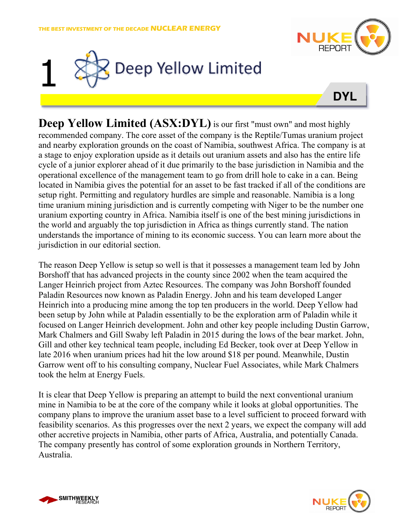





**Deep Yellow Limited (ASX:DYL)** is our first "must own" and most highly recommended company. The core asset of the company is the Reptile/Tumas uranium project and nearby exploration grounds on the coast of Namibia, southwest Africa. The company is at a stage to enjoy exploration upside as it details out uranium assets and also has the entire life cycle of a junior explorer ahead of it due primarily to the base jurisdiction in Namibia and the operational excellence of the management team to go from drill hole to cake in a can. Being located in Namibia gives the potential for an asset to be fast tracked if all of the conditions are setup right. Permitting and regulatory hurdles are simple and reasonable. Namibia is a long time uranium mining jurisdiction and is currently competing with Niger to be the number one uranium exporting country in Africa. Namibia itself is one of the best mining jurisdictions in the world and arguably the top jurisdiction in Africa as things currently stand. The nation understands the importance of mining to its economic success. You can learn more about the jurisdiction in our editorial section.

The reason Deep Yellow is setup so well is that it possesses a management team led by John Borshoff that has advanced projects in the county since 2002 when the team acquired the Langer Heinrich project from Aztec Resources. The company was John Borshoff founded Paladin Resources now known as Paladin Energy. John and his team developed Langer Heinrich into a producing mine among the top ten producers in the world. Deep Yellow had been setup by John while at Paladin essentially to be the exploration arm of Paladin while it focused on Langer Heinrich development. John and other key people including Dustin Garrow, Mark Chalmers and Gill Swaby left Paladin in 2015 during the lows of the bear market. John, Gill and other key technical team people, including Ed Becker, took over at Deep Yellow in late 2016 when uranium prices had hit the low around \$18 per pound. Meanwhile, Dustin Garrow went off to his consulting company, Nuclear Fuel Associates, while Mark Chalmers took the helm at Energy Fuels.

It is clear that Deep Yellow is preparing an attempt to build the next conventional uranium mine in Namibia to be at the core of the company while it looks at global opportunities. The company plans to improve the uranium asset base to a level sufficient to proceed forward with feasibility scenarios. As this progresses over the next 2 years, we expect the company will add other accretive projects in Namibia, other parts of Africa, Australia, and potentially Canada. The company presently has control of some exploration grounds in Northern Territory, Australia.



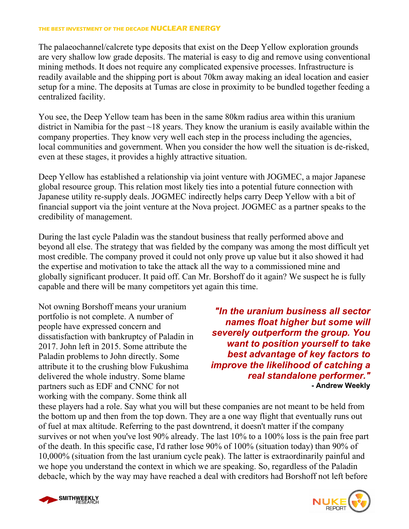### **THE BEST INVESTMENT OF THE DECADE NUCLEAR ENERGY**

The palaeochannel/calcrete type deposits that exist on the Deep Yellow exploration grounds are very shallow low grade deposits. The material is easy to dig and remove using conventional mining methods. It does not require any complicated expensive processes. Infrastructure is readily available and the shipping port is about 70km away making an ideal location and easier setup for a mine. The deposits at Tumas are close in proximity to be bundled together feeding a centralized facility.

You see, the Deep Yellow team has been in the same 80km radius area within this uranium district in Namibia for the past  $\sim$  18 years. They know the uranium is easily available within the company properties. They know very well each step in the process including the agencies, local communities and government. When you consider the how well the situation is de-risked, even at these stages, it provides a highly attractive situation.

Deep Yellow has established a relationship via joint venture with JOGMEC, a major Japanese global resource group. This relation most likely ties into a potential future connection with Japanese utility re-supply deals. JOGMEC indirectly helps carry Deep Yellow with a bit of financial support via the joint venture at the Nova project. JOGMEC as a partner speaks to the credibility of management.

During the last cycle Paladin was the standout business that really performed above and beyond all else. The strategy that was fielded by the company was among the most difficult yet most credible. The company proved it could not only prove up value but it also showed it had the expertise and motivation to take the attack all the way to a commissioned mine and globally significant producer. It paid off. Can Mr. Borshoff do it again? We suspect he is fully capable and there will be many competitors yet again this time.

Not owning Borshoff means your uranium portfolio is not complete. A number of people have expressed concern and dissatisfaction with bankruptcy of Paladin in 2017. John left in 2015. Some attribute the Paladin problems to John directly. Some attribute it to the crushing blow Fukushima delivered the whole industry. Some blame partners such as EDF and CNNC for not working with the company. Some think all

*"In the uranium business all sector names float higher but some will severely outperform the group. You want to position yourself to take best advantage of key factors to improve the likelihood of catching a real standalone performer."* **- Andrew Weekly** 

these players had a role. Say what you will but these companies are not meant to be held from the bottom up and then from the top down. They are a one way flight that eventually runs out of fuel at max altitude. Referring to the past downtrend, it doesn't matter if the company survives or not when you've lost 90% already. The last 10% to a 100% loss is the pain free part of the death. In this specific case, I'd rather lose 90% of 100% (situation today) than 90% of 10,000% (situation from the last uranium cycle peak). The latter is extraordinarily painful and we hope you understand the context in which we are speaking. So, regardless of the Paladin debacle, which by the way may have reached a deal with creditors had Borshoff not left before



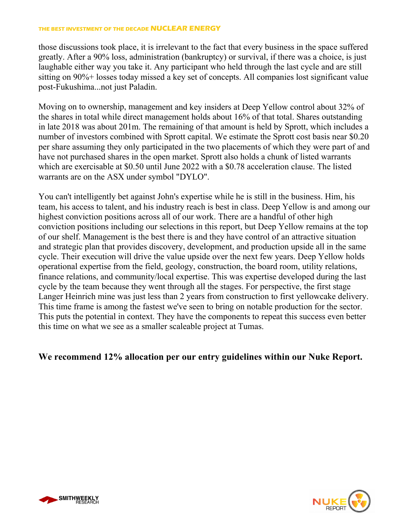## **THE BEST INVESTMENT OF THE DECADE NUCLEAR ENERGY**

those discussions took place, it is irrelevant to the fact that every business in the space suffered greatly. After a 90% loss, administration (bankruptcy) or survival, if there was a choice, is just laughable either way you take it. Any participant who held through the last cycle and are still sitting on 90%+ losses today missed a key set of concepts. All companies lost significant value post-Fukushima...not just Paladin.

Moving on to ownership, management and key insiders at Deep Yellow control about 32% of the shares in total while direct management holds about 16% of that total. Shares outstanding in late 2018 was about 201m. The remaining of that amount is held by Sprott, which includes a number of investors combined with Sprott capital. We estimate the Sprott cost basis near \$0.20 per share assuming they only participated in the two placements of which they were part of and have not purchased shares in the open market. Sprott also holds a chunk of listed warrants which are exercisable at \$0.50 until June 2022 with a \$0.78 acceleration clause. The listed warrants are on the ASX under symbol "DYLO".

You can't intelligently bet against John's expertise while he is still in the business. Him, his team, his access to talent, and his industry reach is best in class. Deep Yellow is and among our highest conviction positions across all of our work. There are a handful of other high conviction positions including our selections in this report, but Deep Yellow remains at the top of our shelf. Management is the best there is and they have control of an attractive situation and strategic plan that provides discovery, development, and production upside all in the same cycle. Their execution will drive the value upside over the next few years. Deep Yellow holds operational expertise from the field, geology, construction, the board room, utility relations, finance relations, and community/local expertise. This was expertise developed during the last cycle by the team because they went through all the stages. For perspective, the first stage Langer Heinrich mine was just less than 2 years from construction to first yellowcake delivery. This time frame is among the fastest we've seen to bring on notable production for the sector. This puts the potential in context. They have the components to repeat this success even better this time on what we see as a smaller scaleable project at Tumas.

## **We recommend 12% allocation per our entry guidelines within our Nuke Report.**



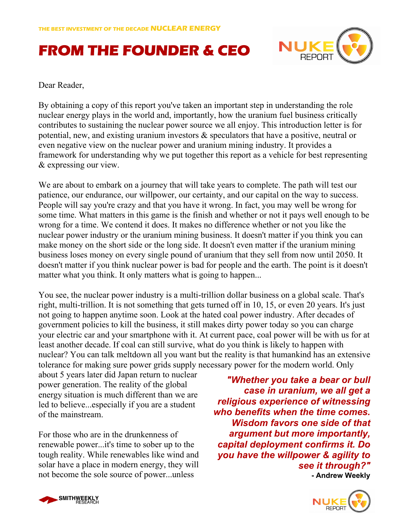# **FROM THE FOUNDER & CEO**



Dear Reader,

By obtaining a copy of this report you've taken an important step in understanding the role nuclear energy plays in the world and, importantly, how the uranium fuel business critically contributes to sustaining the nuclear power source we all enjoy. This introduction letter is for potential, new, and existing uranium investors & speculators that have a positive, neutral or even negative view on the nuclear power and uranium mining industry. It provides a framework for understanding why we put together this report as a vehicle for best representing & expressing our view.

We are about to embark on a journey that will take years to complete. The path will test our patience, our endurance, our willpower, our certainty, and our capital on the way to success. People will say you're crazy and that you have it wrong. In fact, you may well be wrong for some time. What matters in this game is the finish and whether or not it pays well enough to be wrong for a time. We contend it does. It makes no difference whether or not you like the nuclear power industry or the uranium mining business. It doesn't matter if you think you can make money on the short side or the long side. It doesn't even matter if the uranium mining business loses money on every single pound of uranium that they sell from now until 2050. It doesn't matter if you think nuclear power is bad for people and the earth. The point is it doesn't matter what you think. It only matters what is going to happen...

You see, the nuclear power industry is a multi-trillion dollar business on a global scale. That's right, multi-trillion. It is not something that gets turned off in 10, 15, or even 20 years. It's just not going to happen anytime soon. Look at the hated coal power industry. After decades of government policies to kill the business, it still makes dirty power today so you can charge your electric car and your smartphone with it. At current pace, coal power will be with us for at least another decade. If coal can still survive, what do you think is likely to happen with nuclear? You can talk meltdown all you want but the reality is that humankind has an extensive tolerance for making sure power grids supply necessary power for the modern world. Only

about 5 years later did Japan return to nuclear power generation. The reality of the global energy situation is much different than we are led to believe...especially if you are a student of the mainstream.

For those who are in the drunkenness of renewable power...it's time to sober up to the tough reality. While renewables like wind and solar have a place in modern energy, they will not become the sole source of power...unless

*"Whether you take a bear or bull case in uranium, we all get a religious experience of witnessing who benefits when the time comes. Wisdom favors one side of that argument but more importantly, capital deployment confirms it. Do you have the willpower & agility to see it through?"*  **- Andrew Weekly** 



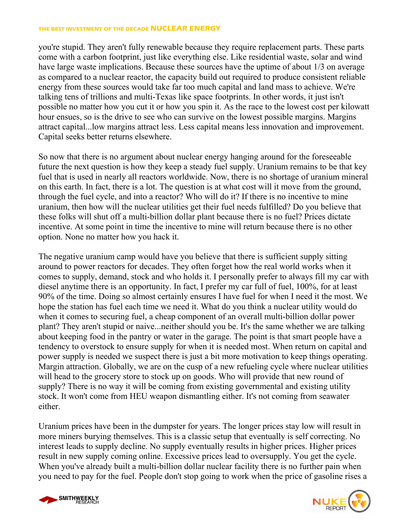#### **THE BEST INVESTMENT OF THE DECADE NUCLEAR ENERGY**

you're stupid. They aren't fully renewable because they require replacement parts. These parts come with a carbon footprint, just like everything else. Like residential waste, solar and wind have large waste implications. Because these sources have the uptime of about 1/3 on average as compared to a nuclear reactor, the capacity build out required to produce consistent reliable energy from these sources would take far too much capital and land mass to achieve. We're talking tens of trillions and multi-Texas like space footprints. In other words, it just isn't possible no matter how you cut it or how you spin it. As the race to the lowest cost per kilowatt hour ensues, so is the drive to see who can survive on the lowest possible margins. Margins attract capital...low margins attract less. Less capital means less innovation and improvement. Capital seeks better returns elsewhere.

So now that there is no argument about nuclear energy hanging around for the foreseeable future the next question is how they keep a steady fuel supply. Uranium remains to be that key fuel that is used in nearly all reactors worldwide. Now, there is no shortage of uranium mineral on this earth. In fact, there is a lot. The question is at what cost will it move from the ground, through the fuel cycle, and into a reactor? Who will do it? If there is no incentive to mine uranium, then how will the nuclear utilities get their fuel needs fulfilled? Do you believe that these folks will shut off a multi-billion dollar plant because there is no fuel? Prices dictate incentive. At some point in time the incentive to mine will return because there is no other option. None no matter how you hack it.

The negative uranium camp would have you believe that there is sufficient supply sitting around to power reactors for decades. They often forget how the real world works when it comes to supply, demand, stock and who holds it. I personally prefer to always fill my car with diesel anytime there is an opportunity. In fact, I prefer my car full of fuel, 100%, for at least 90% of the time. Doing so almost certainly ensures I have fuel for when I need it the most. We hope the station has fuel each time we need it. What do you think a nuclear utility would do when it comes to securing fuel, a cheap component of an overall multi-billion dollar power plant? They aren't stupid or naive...neither should you be. It's the same whether we are talking about keeping food in the pantry or water in the garage. The point is that smart people have a tendency to overstock to ensure supply for when it is needed most. When return on capital and power supply is needed we suspect there is just a bit more motivation to keep things operating. Margin attraction. Globally, we are on the cusp of a new refueling cycle where nuclear utilities will head to the grocery store to stock up on goods. Who will provide that new round of supply? There is no way it will be coming from existing governmental and existing utility stock. It won't come from HEU weapon dismantling either. It's not coming from seawater either.

Uranium prices have been in the dumpster for years. The longer prices stay low will result in more miners burying themselves. This is a classic setup that eventually is self correcting. No interest leads to supply decline. No supply eventually results in higher prices. Higher prices result in new supply coming online. Excessive prices lead to oversupply. You get the cycle. When you've already built a multi-billion dollar nuclear facility there is no further pain when you need to pay for the fuel. People don't stop going to work when the price of gasoline rises a



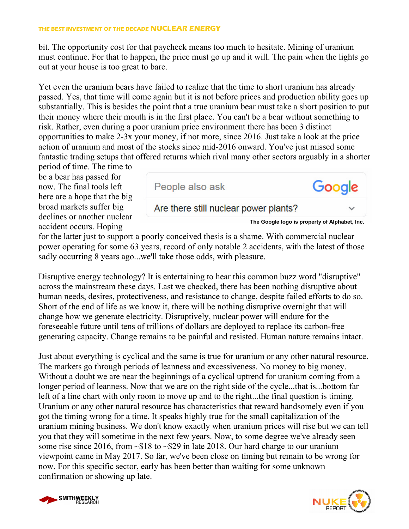bit. The opportunity cost for that paycheck means too much to hesitate. Mining of uranium must continue. For that to happen, the price must go up and it will. The pain when the lights go out at your house is too great to bare.

Yet even the uranium bears have failed to realize that the time to short uranium has already passed. Yes, that time will come again but it is not before prices and production ability goes up substantially. This is besides the point that a true uranium bear must take a short position to put their money where their mouth is in the first place. You can't be a bear without something to risk. Rather, even during a poor uranium price environment there has been 3 distinct opportunities to make 2-3x your money, if not more, since 2016. Just take a look at the price action of uranium and most of the stocks since mid-2016 onward. You've just missed some fantastic trading setups that offered returns which rival many other sectors arguably in a shorter

period of time. The time to be a bear has passed for now. The final tools left here are a hope that the big broad markets suffer big declines or another nuclear accident occurs. Hoping



for the latter just to support a poorly conceived thesis is a shame. With commercial nuclear power operating for some 63 years, record of only notable 2 accidents, with the latest of those sadly occurring 8 years ago...we'll take those odds, with pleasure.

Disruptive energy technology? It is entertaining to hear this common buzz word "disruptive" across the mainstream these days. Last we checked, there has been nothing disruptive about human needs, desires, protectiveness, and resistance to change, despite failed efforts to do so. Short of the end of life as we know it, there will be nothing disruptive overnight that will change how we generate electricity. Disruptively, nuclear power will endure for the foreseeable future until tens of trillions of dollars are deployed to replace its carbon-free generating capacity. Change remains to be painful and resisted. Human nature remains intact.

Just about everything is cyclical and the same is true for uranium or any other natural resource. The markets go through periods of leanness and excessiveness. No money to big money. Without a doubt we are near the beginnings of a cyclical uptrend for uranium coming from a longer period of leanness. Now that we are on the right side of the cycle...that is...bottom far left of a line chart with only room to move up and to the right...the final question is timing. Uranium or any other natural resource has characteristics that reward handsomely even if you got the timing wrong for a time. It speaks highly true for the small capitalization of the uranium mining business. We don't know exactly when uranium prices will rise but we can tell you that they will sometime in the next few years. Now, to some degree we've already seen some rise since 2016, from  $\sim $18$  to  $\sim $29$  in late 2018. Our hard charge to our uranium viewpoint came in May 2017. So far, we've been close on timing but remain to be wrong for now. For this specific sector, early has been better than waiting for some unknown confirmation or showing up late.